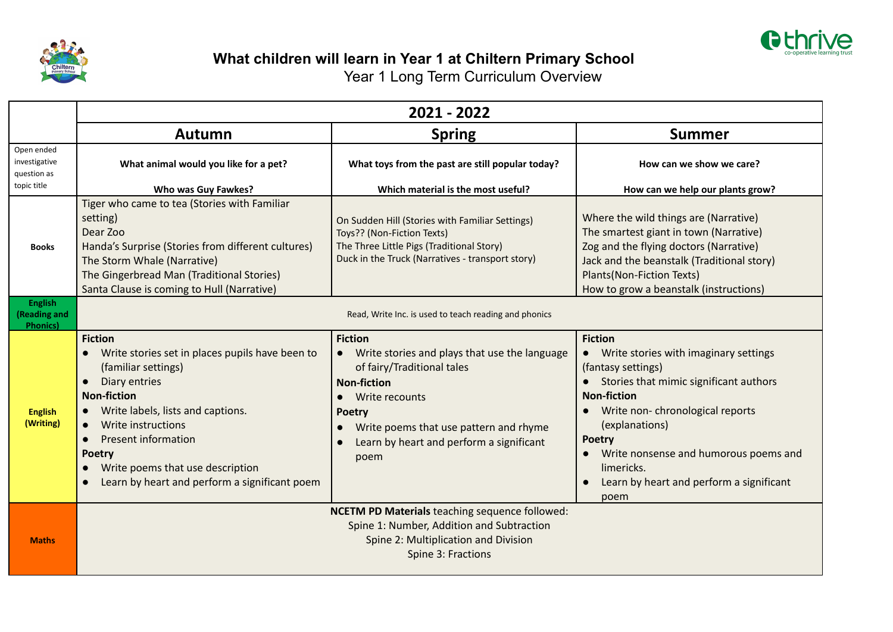



## **What children will learn in Year 1 at Chiltern Primary School**

Year 1 Long Term Curriculum Overview

|                                                           | 2021 - 2022                                                                                                                                                                                                                                                                                                                                                           |                                                                                                                                                                                                                                                                                |                                                                                                                                                                                                                                                                                                                                                 |  |  |  |
|-----------------------------------------------------------|-----------------------------------------------------------------------------------------------------------------------------------------------------------------------------------------------------------------------------------------------------------------------------------------------------------------------------------------------------------------------|--------------------------------------------------------------------------------------------------------------------------------------------------------------------------------------------------------------------------------------------------------------------------------|-------------------------------------------------------------------------------------------------------------------------------------------------------------------------------------------------------------------------------------------------------------------------------------------------------------------------------------------------|--|--|--|
|                                                           | Autumn                                                                                                                                                                                                                                                                                                                                                                | <b>Spring</b>                                                                                                                                                                                                                                                                  | <b>Summer</b>                                                                                                                                                                                                                                                                                                                                   |  |  |  |
| Open ended<br>investigative<br>question as<br>topic title | What animal would you like for a pet?<br>Who was Guy Fawkes?                                                                                                                                                                                                                                                                                                          | What toys from the past are still popular today?<br>Which material is the most useful?                                                                                                                                                                                         | How can we show we care?                                                                                                                                                                                                                                                                                                                        |  |  |  |
| <b>Books</b>                                              | Tiger who came to tea (Stories with Familiar<br>setting)<br>Dear Zoo<br>Handa's Surprise (Stories from different cultures)<br>The Storm Whale (Narrative)<br>The Gingerbread Man (Traditional Stories)<br>Santa Clause is coming to Hull (Narrative)                                                                                                                  | On Sudden Hill (Stories with Familiar Settings)<br>Toys?? (Non-Fiction Texts)<br>The Three Little Pigs (Traditional Story)<br>Duck in the Truck (Narratives - transport story)                                                                                                 | How can we help our plants grow?<br>Where the wild things are (Narrative)<br>The smartest giant in town (Narrative)<br>Zog and the flying doctors (Narrative)<br>Jack and the beanstalk (Traditional story)<br>Plants(Non-Fiction Texts)<br>How to grow a beanstalk (instructions)                                                              |  |  |  |
| <b>English</b><br>(Reading and<br><b>Phonics</b> )        | Read, Write Inc. is used to teach reading and phonics                                                                                                                                                                                                                                                                                                                 |                                                                                                                                                                                                                                                                                |                                                                                                                                                                                                                                                                                                                                                 |  |  |  |
| <b>English</b><br>(Writing)                               | <b>Fiction</b><br>Write stories set in places pupils have been to<br>(familiar settings)<br>Diary entries<br>$\bullet$<br><b>Non-fiction</b><br>Write labels, lists and captions.<br>Write instructions<br>$\bullet$<br><b>Present information</b><br>$\bullet$<br><b>Poetry</b><br>Write poems that use description<br>Learn by heart and perform a significant poem | <b>Fiction</b><br>Write stories and plays that use the language<br>$\bullet$<br>of fairy/Traditional tales<br><b>Non-fiction</b><br>Write recounts<br>$\bullet$<br><b>Poetry</b><br>Write poems that use pattern and rhyme<br>Learn by heart and perform a significant<br>poem | <b>Fiction</b><br>• Write stories with imaginary settings<br>(fantasy settings)<br>Stories that mimic significant authors<br><b>Non-fiction</b><br>Write non-chronological reports<br>$\bullet$<br>(explanations)<br><b>Poetry</b><br>• Write nonsense and humorous poems and<br>limericks.<br>Learn by heart and perform a significant<br>poem |  |  |  |
| <b>Maths</b>                                              |                                                                                                                                                                                                                                                                                                                                                                       | <b>NCETM PD Materials teaching sequence followed:</b><br>Spine 1: Number, Addition and Subtraction<br>Spine 2: Multiplication and Division<br>Spine 3: Fractions                                                                                                               |                                                                                                                                                                                                                                                                                                                                                 |  |  |  |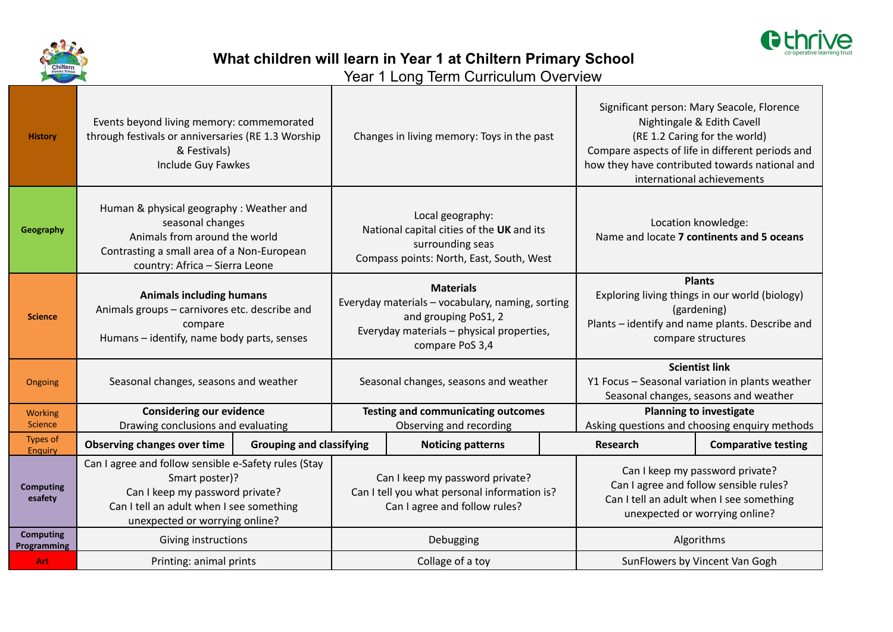



**What children will learn in Year 1 at Chiltern Primary School**

Year 1 Long Term Curriculum Overview

| <b>History</b>                   | & Festivals)                                                                                                                                                                            | Events beyond living memory: commemorated<br>through festivals or anniversaries (RE 1.3 Worship<br>Include Guy Fawkes |                                                                                                                                                              | Changes in living memory: Toys in the past                                                                                    |                                                                                                                                                         | Significant person: Mary Seacole, Florence<br>Nightingale & Edith Cavell<br>(RE 1.2 Caring for the world)<br>Compare aspects of life in different periods and<br>how they have contributed towards national and<br>international achievements |                                                                  |
|----------------------------------|-----------------------------------------------------------------------------------------------------------------------------------------------------------------------------------------|-----------------------------------------------------------------------------------------------------------------------|--------------------------------------------------------------------------------------------------------------------------------------------------------------|-------------------------------------------------------------------------------------------------------------------------------|---------------------------------------------------------------------------------------------------------------------------------------------------------|-----------------------------------------------------------------------------------------------------------------------------------------------------------------------------------------------------------------------------------------------|------------------------------------------------------------------|
| Geography                        | Human & physical geography: Weather and<br>seasonal changes<br>Animals from around the world<br>Contrasting a small area of a Non-European<br>country: Africa - Sierra Leone            |                                                                                                                       |                                                                                                                                                              | Local geography:<br>National capital cities of the UK and its<br>surrounding seas<br>Compass points: North, East, South, West |                                                                                                                                                         |                                                                                                                                                                                                                                               | Location knowledge:<br>Name and locate 7 continents and 5 oceans |
| <b>Science</b>                   | <b>Animals including humans</b><br>Animals groups - carnivores etc. describe and<br>compare<br>Humans - identify, name body parts, senses                                               |                                                                                                                       | <b>Materials</b><br>Everyday materials - vocabulary, naming, sorting<br>and grouping PoS1, 2<br>Everyday materials - physical properties,<br>compare PoS 3,4 |                                                                                                                               | <b>Plants</b><br>Exploring living things in our world (biology)<br>(gardening)<br>Plants - identify and name plants. Describe and<br>compare structures |                                                                                                                                                                                                                                               |                                                                  |
| Ongoing                          | Seasonal changes, seasons and weather                                                                                                                                                   |                                                                                                                       | Seasonal changes, seasons and weather                                                                                                                        |                                                                                                                               | <b>Scientist link</b><br>Y1 Focus - Seasonal variation in plants weather<br>Seasonal changes, seasons and weather                                       |                                                                                                                                                                                                                                               |                                                                  |
| <b>Working</b><br><b>Science</b> | <b>Considering our evidence</b>                                                                                                                                                         |                                                                                                                       |                                                                                                                                                              | <b>Testing and communicating outcomes</b>                                                                                     |                                                                                                                                                         | <b>Planning to investigate</b><br>Asking questions and choosing enquiry methods                                                                                                                                                               |                                                                  |
| <b>Types of</b>                  | Drawing conclusions and evaluating<br>Observing changes over time                                                                                                                       | <b>Grouping and classifying</b>                                                                                       |                                                                                                                                                              | Observing and recording<br><b>Noticing patterns</b>                                                                           |                                                                                                                                                         | Research                                                                                                                                                                                                                                      | <b>Comparative testing</b>                                       |
| <b>Enquiry</b>                   |                                                                                                                                                                                         |                                                                                                                       |                                                                                                                                                              |                                                                                                                               |                                                                                                                                                         |                                                                                                                                                                                                                                               |                                                                  |
| <b>Computing</b><br>esafety      | Can I agree and follow sensible e-Safety rules (Stay<br>Smart poster)?<br>Can I keep my password private?<br>Can I tell an adult when I see something<br>unexpected or worrying online? |                                                                                                                       | Can I keep my password private?<br>Can I tell you what personal information is?<br>Can I agree and follow rules?                                             |                                                                                                                               | Can I keep my password private?<br>Can I agree and follow sensible rules?<br>Can I tell an adult when I see something<br>unexpected or worrying online? |                                                                                                                                                                                                                                               |                                                                  |
| <b>Computing</b><br>Programming  | Giving instructions                                                                                                                                                                     |                                                                                                                       | Debugging                                                                                                                                                    |                                                                                                                               |                                                                                                                                                         | Algorithms                                                                                                                                                                                                                                    |                                                                  |
| <b>Art</b>                       | Printing: animal prints                                                                                                                                                                 |                                                                                                                       |                                                                                                                                                              | Collage of a toy                                                                                                              |                                                                                                                                                         | SunFlowers by Vincent Van Gogh                                                                                                                                                                                                                |                                                                  |